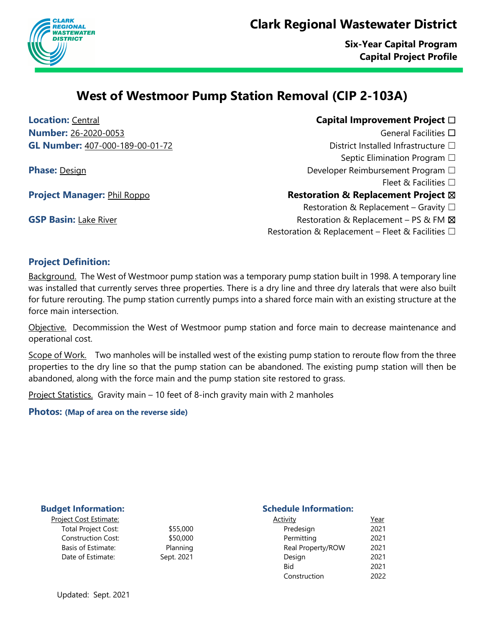## **Clark Regional Wastewater District**



**Six-Year Capital Program Capital Project Profile**

## **West of Westmoor Pump Station Removal (CIP 2-103A)**

**Location:** Central **Capital Improvement Project** ☐ **Number:** 26-2020-0053 General Facilities □ **GL Number:** 407-000-189-00-01-72 District Installed Infrastructure □

- Septic Elimination Program □
- **Phase:** Design Developer Reimbursement Program □
	- Fleet  $\&$  Facilities  $\Box$

## **Project Manager:** Phil Roppo **Restoration & Replacement Project**  $\boxtimes$

Restoration & Replacement – Gravity  $\square$ 

- **GSP Basin:** Lake River **Restoration & Replacement PS & FM**  $\boxtimes$ 
	- Restoration & Replacement Fleet & Facilities  $\Box$

## **Project Definition:**

Background. The West of Westmoor pump station was a temporary pump station built in 1998. A temporary line was installed that currently serves three properties. There is a dry line and three dry laterals that were also built for future rerouting. The pump station currently pumps into a shared force main with an existing structure at the force main intersection.

Objective. Decommission the West of Westmoor pump station and force main to decrease maintenance and operational cost.

Scope of Work. Two manholes will be installed west of the existing pump station to reroute flow from the three properties to the dry line so that the pump station can be abandoned. The existing pump station will then be abandoned, along with the force main and the pump station site restored to grass.

Project Statistics. Gravity main – 10 feet of 8-inch gravity main with 2 manholes

**Photos: (Map of area on the reverse side)**

| <u>roiect Cost Estimate:</u> |  |
|------------------------------|--|
| <b>Total Project Cost:</b>   |  |
| <b>Construction Cost:</b>    |  |
| Basis of Estimate:           |  |
| Date of Estimate:            |  |
|                              |  |

#### **Budget Information:** Schedule Information:

| <u> Project Cost Estimate:</u> |            | <b>Activity</b>   | <u>Year</u> |
|--------------------------------|------------|-------------------|-------------|
| <b>Total Project Cost:</b>     | \$55,000   | Predesign         | 2021        |
| <b>Construction Cost:</b>      | \$50,000   | Permitting        | 2021        |
| Basis of Estimate:             | Planning   | Real Property/ROW | 2021        |
| Date of Estimate:              | Sept. 2021 | Design            | 2021        |
|                                |            | Bid               | 2021        |
|                                |            | Construction      | 2022        |
|                                |            |                   |             |